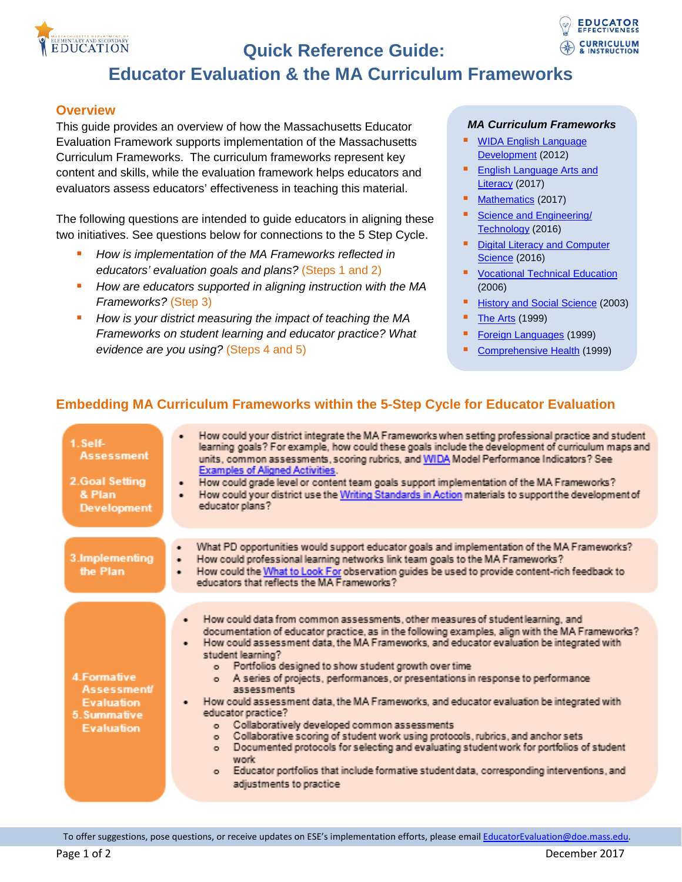

# **Quick Reference Guide:**



# **Educator Evaluation & the MA Curriculum Frameworks**

#### **Overview**

This guide provides an overview of how the Massachusetts Educator Evaluation Framework supports implementation of the Massachusetts Curriculum Frameworks. The curriculum frameworks represent key content and skills, while the evaluation framework helps educators and evaluators assess educators' effectiveness in teaching this material.

The following questions are intended to guide educators in aligning these two initiatives. See questions below for connections to the 5 Step Cycle.

- *How is implementation of the MA Frameworks reflected in educators' evaluation goals and plans?* (Steps 1 and 2)
- *How are educators supported in aligning instruction with the MA Frameworks?* (Step 3)
- *How is your district measuring the impact of teaching the MA Frameworks on student learning and educator practice? What evidence are you using?* (Steps 4 and 5)

#### *MA Curriculum Frameworks*

- **WIDA English Language** [Development](http://wida.us/downloadLibrary.aspx) (2012)
- **English Language Arts and** [Literacy](http://www.doe.mass.edu/frameworks/ela/2017-06.pdf) (2017)
- [Mathematics](http://www.doe.mass.edu/frameworks/math/2017-06.pdf) (2017)
- [Science and Engineering/](http://www.doe.mass.edu/frameworks/scitech/2016-04.pdf)  [Technology](http://www.doe.mass.edu/frameworks/scitech/2016-04.pdf) (2016)
- Digital Literacy and Computer **[Science](http://www.doe.mass.edu/frameworks/dlcs.pdf) (2016)**
- [Vocational Technical Education](http://www.doe.mass.edu/cte/frameworks/) (2006)
- [History and Social Science](http://www.doe.mass.edu/frameworks/hss/final.pdf) (2003)
- $\blacksquare$  [The Arts](http://www.doe.mass.edu/frameworks/arts/1099.pdf) (1999)
- [Foreign Languages](http://www.doe.mass.edu/frameworks/foreign/1999.pdf) (1999)
- [Comprehensive Health](http://www.doe.mass.edu/frameworks/health/1999/1099.pdf) (1999)

### **Embedding MA Curriculum Frameworks within the 5-Step Cycle for Educator Evaluation**

| 1. Self-<br><b>Assessment</b><br>2.Goal Setting<br>& Plan<br><b>Development</b>             | • How could your district integrate the MA Frameworks when setting professional practice and student<br>learning goals? For example, how could these goals include the development of curriculum maps and<br>units, common assessments, scoring rubrics, and WIDA Model Performance Indicators? See<br><b>Examples of Aligned Activities.</b><br>. How could grade level or content team goals support implementation of the MA Frameworks?<br>. How could your district use the Writing Standards in Action materials to support the development of<br>educator plans?                                                                                                                                                                                                                                                                                                                                                                                                                                              |
|---------------------------------------------------------------------------------------------|----------------------------------------------------------------------------------------------------------------------------------------------------------------------------------------------------------------------------------------------------------------------------------------------------------------------------------------------------------------------------------------------------------------------------------------------------------------------------------------------------------------------------------------------------------------------------------------------------------------------------------------------------------------------------------------------------------------------------------------------------------------------------------------------------------------------------------------------------------------------------------------------------------------------------------------------------------------------------------------------------------------------|
| 3.Implementing<br>the Plan                                                                  | What PD opportunities would support educator goals and implementation of the MA Frameworks?<br>۰<br>How could professional learning networks link team goals to the MA Frameworks?<br>$\bullet$<br>How could the What to Look For observation guides be used to provide content-rich feedback to<br>٠<br>educators that reflects the MA Frameworks?                                                                                                                                                                                                                                                                                                                                                                                                                                                                                                                                                                                                                                                                  |
| 4. Formative<br><b>Assessment</b><br><b>Evaluation</b><br>5. Summative<br><b>Evaluation</b> | How could data from common assessments, other measures of student learning, and<br>$\bullet$<br>documentation of educator practice, as in the following examples, align with the MA Frameworks?<br>How could assessment data, the MA Frameworks, and educator evaluation be integrated with<br>$\bullet$<br>student learning?<br>o Portfolios designed to show student growth over time<br>o A series of projects, performances, or presentations in response to performance<br>assessments<br>How could assessment data, the MA Frameworks, and educator evaluation be integrated with<br>٠<br>educator practice?<br>Collaboratively developed common assessments<br>$\sim$<br>Collaborative scoring of student work using protocols, rubrics, and anchor sets<br>$\sim$<br>Documented protocols for selecting and evaluating student work for portfolios of student<br>$\bullet$<br>work<br>o Educator portfolios that include formative student data, corresponding interventions, and<br>adjustments to practice |

To offer suggestions, pose questions, or receive updates on ESE's implementation efforts, please email [EducatorEvaluation@doe.mass.edu.](mailto:EducatorEvaluation@doe.mass.edu)